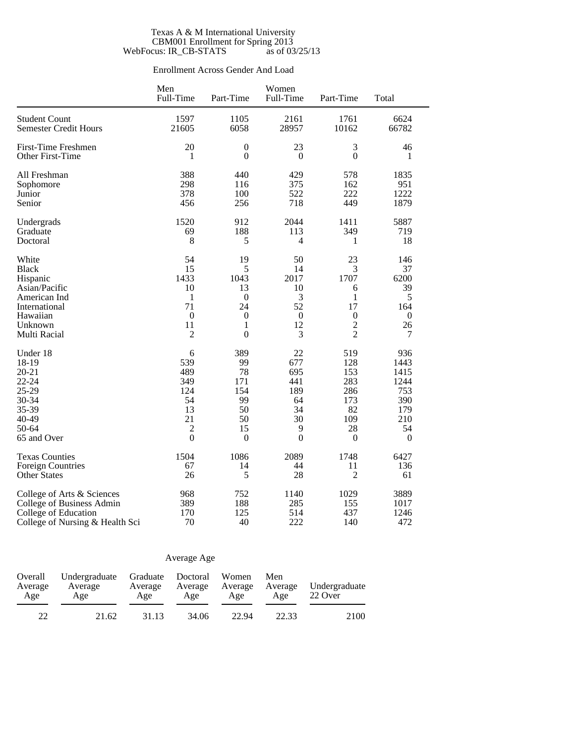#### Texas A & M International University CBM001 Enrollment for Spring 2013 WebFocus: IR\_CB-STATS as of 03/25/13

### Enrollment Across Gender And Load

|                                 | Men<br>Full-Time | Part-Time        | Women<br>Full-Time | Part-Time        | Total            |
|---------------------------------|------------------|------------------|--------------------|------------------|------------------|
| <b>Student Count</b>            | 1597             | 1105             | 2161               | 1761             | 6624             |
| <b>Semester Credit Hours</b>    | 21605            | 6058             | 28957              | 10162            | 66782            |
| <b>First-Time Freshmen</b>      | 20               | $\mathbf{0}$     | 23                 | 3                | 46               |
| Other First-Time                | 1                | $\boldsymbol{0}$ | $\boldsymbol{0}$   | $\overline{0}$   | 1                |
| All Freshman                    | 388              | 440              | 429                | 578              | 1835             |
| Sophomore                       | 298              | 116              | 375                | 162              | 951              |
| Junior                          | 378              | 100              | 522                | 222              | 1222             |
| Senior                          | 456              | 256              | 718                | 449              | 1879             |
| Undergrads                      | 1520             | 912              | 2044               | 1411             | 5887             |
| Graduate                        | 69               | 188              | 113                | 349              | 719              |
| Doctoral                        | 8                | 5                | 4                  | 1                | 18               |
| White                           | 54               | 19               | 50                 | 23               | 146              |
| <b>Black</b>                    | 15               | 5                | 14                 | 3                | 37               |
| Hispanic                        | 1433             | 1043             | 2017               | 1707             | 6200             |
| Asian/Pacific                   | 10               | 13               | 10                 | 6                | 39               |
| American Ind                    | 1                | $\boldsymbol{0}$ | 3                  | 1                | 5                |
| International                   | 71               | 24               | 52                 | 17               | 164              |
| Hawaiian                        | $\mathbf{0}$     | $\boldsymbol{0}$ | $\boldsymbol{0}$   | $\boldsymbol{0}$ | $\boldsymbol{0}$ |
| Unknown                         | 11               | 1                | 12                 | $\overline{2}$   | 26               |
| Multi Racial                    | $\overline{c}$   | $\mathbf{0}$     | 3                  | $\overline{2}$   | 7                |
| Under 18                        | 6                | 389              | 22                 | 519              | 936              |
| 18-19                           | 539              | 99               | 677                | 128              | 1443             |
| $20 - 21$                       | 489              | 78               | 695                | 153              | 1415             |
| 22-24                           | 349              | 171              | 441                | 283              | 1244             |
| 25-29                           | 124              | 154              | 189                | 286              | 753              |
| 30-34                           | 54               | 99               | 64                 | 173              | 390              |
| 35-39                           | 13               | 50               | 34                 | 82               | 179              |
| 40-49                           | 21               | 50               | 30                 | 109              | 210              |
| 50-64                           | 2                | 15               | 9                  | 28               | 54               |
| 65 and Over                     | $\overline{0}$   | $\mathbf{0}$     | $\overline{0}$     | $\mathbf{0}$     | $\boldsymbol{0}$ |
| <b>Texas Counties</b>           | 1504             | 1086             | 2089               | 1748             | 6427             |
| <b>Foreign Countries</b>        | 67               | 14               | 44                 | 11               | 136              |
| <b>Other States</b>             | 26               | 5                | 28                 | $\overline{c}$   | 61               |
| College of Arts & Sciences      | 968              | 752              | 1140               | 1029             | 3889             |
| College of Business Admin       | 389              | 188              | 285                | 155              | 1017             |
| College of Education            | 170              | 125              | 514                | 437              | 1246             |
| College of Nursing & Health Sci | 70               | 40               | 222                | 140              | 472              |

### Average Age

| Overall<br>Average<br>Age | Undergraduate<br>Average<br>Age | Graduate Doctoral<br>Average<br>Age | Average<br>Age | Women<br>Average<br>Age | Men<br>Average<br>Age | Undergraduate<br>22 Over |  |
|---------------------------|---------------------------------|-------------------------------------|----------------|-------------------------|-----------------------|--------------------------|--|
|                           | 21.62                           | 31.13                               | 34.06          | 22.94                   | 22.33                 | 2100                     |  |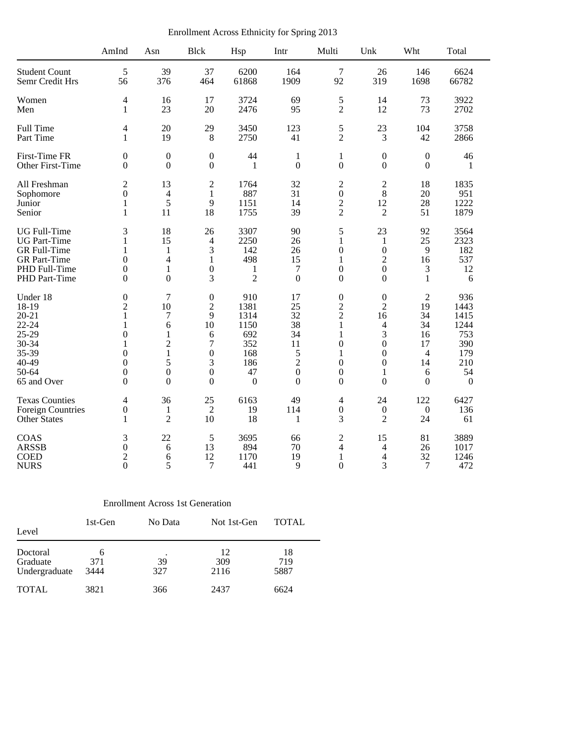Enrollment Across Ethnicity for Spring 2013

|                          | AmInd            | Asn              | <b>Blck</b>      | Hsp              | Intr             | Multi                    | Unk                                                          | Wht              | Total          |
|--------------------------|------------------|------------------|------------------|------------------|------------------|--------------------------|--------------------------------------------------------------|------------------|----------------|
| <b>Student Count</b>     | 5                | 39               | 37               | 6200             | 164              | 7                        | 26                                                           | 146              | 6624           |
| Semr Credit Hrs          | 56               | 376              | 464              | 61868            | 1909             | 92                       | 319                                                          | 1698             | 66782          |
| Women                    | 4                | 16               | 17               | 3724             | 69               | 5                        | 14                                                           | 73               | 3922           |
| Men                      | 1                | 23               | 20               | 2476             | 95               | $\overline{2}$           | 12                                                           | 73               | 2702           |
| Full Time                | 4                | 20               | 29               | 3450             | 123              | 5                        | 23                                                           | 104              | 3758           |
| Part Time                | $\mathbf{1}$     | 19               | $\,8\,$          | 2750             | 41               | $\overline{2}$           | 3                                                            | 42               | 2866           |
| First-Time FR            | $\theta$         | $\boldsymbol{0}$ | $\boldsymbol{0}$ | 44               | $\mathbf{1}$     | $\mathbf{1}$             | $\boldsymbol{0}$                                             | $\boldsymbol{0}$ | 46             |
| Other First-Time         | $\boldsymbol{0}$ | $\boldsymbol{0}$ | $\boldsymbol{0}$ | $\mathbf{1}$     | $\boldsymbol{0}$ | $\boldsymbol{0}$         | $\boldsymbol{0}$                                             | $\boldsymbol{0}$ | 1              |
| All Freshman             | $\overline{2}$   | 13               | $\overline{c}$   | 1764             | 32               | $\overline{2}$           | $\mathfrak{2}% =\mathfrak{2}\left( \mathfrak{2}\right) ^{2}$ | 18               | 1835           |
| Sophomore                | $\boldsymbol{0}$ | $\overline{4}$   | $\mathbf{1}$     | 887              | 31               | $\boldsymbol{0}$         | $8\,$                                                        | 20               | 951            |
| Junior                   | 1                | 5                | 9                | 1151             | 14               | $\overline{c}$           | 12                                                           | 28               | 1222           |
| Senior                   | 1                | 11               | 18               | 1755             | 39               | $\overline{2}$           | $\overline{2}$                                               | 51               | 1879           |
| <b>UG</b> Full-Time      | 3                | 18               | 26               | 3307             | 90               | 5                        | 23                                                           | 92               | 3564           |
| <b>UG</b> Part-Time      | 1                | 15               | 4                | 2250             | 26               | $\mathbf{1}$             | 1                                                            | 25               | 2323           |
| GR Full-Time             | 1                | 1                | 3                | 142              | 26               | $\boldsymbol{0}$         | $\boldsymbol{0}$                                             | $\overline{9}$   | 182            |
| <b>GR</b> Part-Time      | $\boldsymbol{0}$ | $\overline{4}$   | $\mathbf{1}$     | 498              | 15               | $\mathbf{1}$             | $\overline{c}$                                               | 16               | 537            |
| PHD Full-Time            | $\boldsymbol{0}$ | $\mathbf{1}$     | $\boldsymbol{0}$ | $\mathbf{1}$     | 7                | $\boldsymbol{0}$         | $\boldsymbol{0}$                                             | 3                | 12             |
| PHD Part-Time            | $\theta$         | $\mathbf{0}$     | 3                | $\overline{2}$   | $\mathbf{0}$     | $\boldsymbol{0}$         | $\boldsymbol{0}$                                             | $\mathbf{1}$     | 6              |
| Under 18                 | $\boldsymbol{0}$ | $\tau$           | $\boldsymbol{0}$ | 910              | 17               | $\boldsymbol{0}$         | $\boldsymbol{0}$                                             | $\overline{2}$   | 936            |
| 18-19                    | $\overline{2}$   | 10               | $\overline{2}$   | 1381             | 25               | $\overline{c}$           | $\overline{2}$                                               | 19               | 1443           |
| $20 - 21$                | 1                | 7                | 9                | 1314             | 32               | $\overline{2}$           | 16                                                           | 34               | 1415           |
| $22 - 24$                | 1                | 6                | 10               | 1150             | 38               | $\mathbf{1}$             | $\overline{4}$                                               | 34               | 1244           |
| $25-29$                  | $\boldsymbol{0}$ | $\mathbf{1}$     | 6                | 692              | 34               | $\mathbf{1}$             | 3                                                            | 16               | 753            |
| 30-34                    | 1                | $\overline{2}$   | 7                | 352              | 11               | $\boldsymbol{0}$         | $\boldsymbol{0}$                                             | 17               | 390            |
| 35-39                    | $\boldsymbol{0}$ | $\mathbf{1}$     | $\boldsymbol{0}$ | 168              | 5                | $\mathbf{1}$             | $\boldsymbol{0}$                                             | $\overline{4}$   | 179            |
| 40-49                    | $\boldsymbol{0}$ | 5                | 3                | 186              | $\overline{c}$   | $\boldsymbol{0}$         | $\boldsymbol{0}$                                             | 14               | 210            |
| 50-64                    | $\boldsymbol{0}$ | $\mathbf{0}$     | $\boldsymbol{0}$ | 47               | $\boldsymbol{0}$ | $\boldsymbol{0}$         | $\mathbf{1}$                                                 | 6                | 54             |
| 65 and Over              | $\boldsymbol{0}$ | $\overline{0}$   | $\boldsymbol{0}$ | $\boldsymbol{0}$ | $\mathbf{0}$     | $\overline{0}$           | $\mathbf{0}$                                                 | $\Omega$         | $\overline{0}$ |
| <b>Texas Counties</b>    | $\overline{4}$   | 36               | 25               | 6163             | 49               | $\overline{\mathcal{L}}$ | 24                                                           | 122              | 6427           |
| <b>Foreign Countries</b> | $\boldsymbol{0}$ | 1                | $\overline{2}$   | 19               | 114              | $\boldsymbol{0}$         | $\boldsymbol{0}$                                             | $\boldsymbol{0}$ | 136            |
| <b>Other States</b>      | 1                | $\overline{2}$   | 10               | 18               | 1                | 3                        | $\overline{2}$                                               | 24               | 61             |
| COAS                     | 3                | 22               | $\mathfrak{S}$   | 3695             | 66               | $\mathfrak{2}$           | 15                                                           | 81               | 3889           |
| <b>ARSSB</b>             | $\boldsymbol{0}$ | 6                | 13               | 894              | 70               | $\overline{\mathcal{L}}$ | $\overline{4}$                                               | 26               | 1017           |
| <b>COED</b>              | $\overline{2}$   | 6                | 12               | 1170             | 19               | $\mathbf{1}$             | 4                                                            | 32               | 1246           |
| <b>NURS</b>              | $\theta$         | 5                | 7                | 441              | 9                | $\boldsymbol{0}$         | 3                                                            | $\tau$           | 472            |

### Enrollment Across 1st Generation

| Level                                 | 1st-Gen                     | No Data   | Not 1st-Gen       | <b>TOTAL</b>      |  |
|---------------------------------------|-----------------------------|-----------|-------------------|-------------------|--|
| Doctoral<br>Graduate<br>Undergraduate | <sub>6</sub><br>371<br>3444 | 39<br>327 | 12<br>309<br>2116 | 18<br>719<br>5887 |  |
| <b>TOTAL</b>                          | 3821                        | 366       | 2437              | 6624              |  |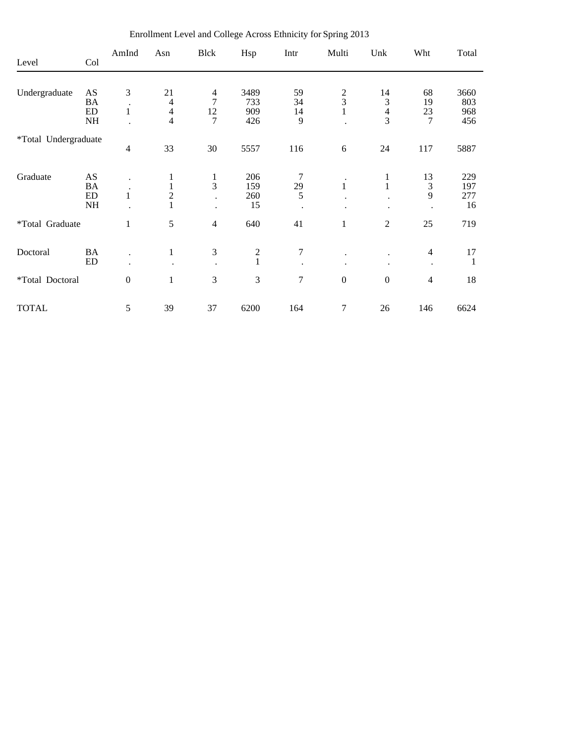| Level                | Col                     | AmInd            | Asn                      | Blck                 | Hsp           | Intr           | Multi            | Unk              | Wht                         | Total              |
|----------------------|-------------------------|------------------|--------------------------|----------------------|---------------|----------------|------------------|------------------|-----------------------------|--------------------|
|                      |                         |                  |                          |                      |               |                |                  |                  |                             |                    |
| Undergraduate        | AS                      | 3                | 21                       | 4                    | 3489          | 59             |                  | 14               | 68                          | 3660               |
|                      | BA                      | $\bullet$        | 4                        | $\overline{7}$       | 733           | 34             | $\frac{2}{3}$    | 3                | 19                          | 803                |
|                      | ED                      | 1                | $\overline{\mathcal{L}}$ | 12                   | 909           | 14             |                  | $\overline{4}$   | 23                          | 968                |
|                      | $\rm NH$                |                  | $\overline{4}$           | 7                    | 426           | 9              |                  | 3                | 7                           | 456                |
| *Total Undergraduate |                         |                  |                          |                      |               |                |                  |                  |                             |                    |
|                      |                         | $\overline{4}$   | 33                       | 30                   | 5557          | 116            | $\sqrt{6}$       | 24               | 117                         | 5887               |
| Graduate             | AS                      |                  | $\mathbf{1}$             | $\mathbf{1}$         | 206           | 7              |                  | 1                | 13                          | 229                |
|                      | <b>BA</b>               |                  | $\,1$                    | 3                    | 159           | 29             | $\mathbf{1}$     | $\mathbf{1}$     | $\mathfrak{Z}$              | 197                |
|                      | ED                      | $\mathbf{1}$     | $\overline{c}$           |                      | 260           | 5              |                  |                  | 9                           | 277                |
|                      | $\rm NH$                |                  | $\mathbf{1}$             | $\ddot{\phantom{0}}$ | 15            |                |                  |                  |                             | 16                 |
| *Total Graduate      |                         | 1                | 5                        | $\overline{4}$       | 640           | 41             | $\mathbf{1}$     | $\sqrt{2}$       | 25                          | 719                |
|                      |                         |                  |                          |                      |               |                |                  |                  |                             |                    |
| Doctoral             | <b>BA</b><br>${\rm ED}$ | $\cdot$          | $\,1$                    | 3                    | $\frac{2}{1}$ | $\tau$         |                  |                  | $\overline{4}$<br>$\bullet$ | 17<br>$\mathbf{1}$ |
|                      |                         |                  |                          |                      |               |                |                  |                  |                             |                    |
| *Total Doctoral      |                         | $\boldsymbol{0}$ | $\mathbf{1}$             | 3                    | 3             | $\overline{7}$ | $\boldsymbol{0}$ | $\boldsymbol{0}$ | $\overline{4}$              | 18                 |
| <b>TOTAL</b>         |                         | 5                | 39                       | 37                   | 6200          | 164            | 7                | 26               | 146                         | 6624               |

Enrollment Level and College Across Ethnicity for Spring 2013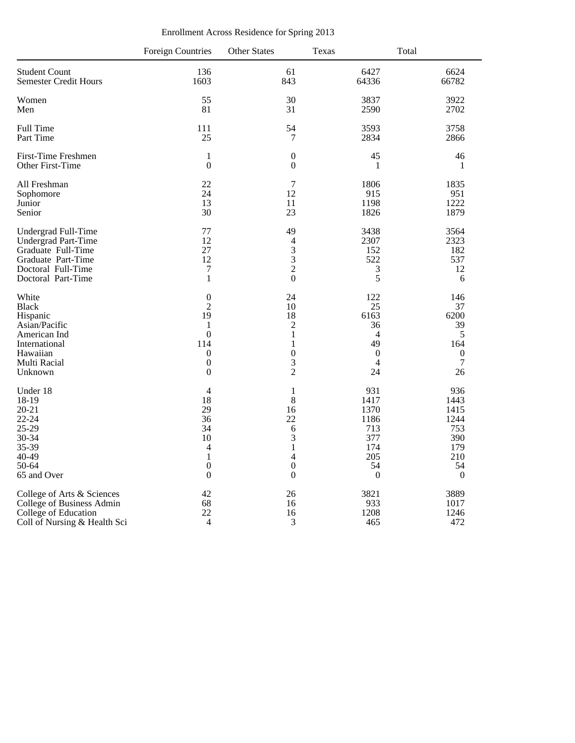|                              | <b>Foreign Countries</b> | <b>Other States</b> | <b>Texas</b>     | Total            |
|------------------------------|--------------------------|---------------------|------------------|------------------|
| <b>Student Count</b>         | 136                      | 61                  | 6427             | 6624             |
| <b>Semester Credit Hours</b> | 1603                     | 843                 | 64336            | 66782            |
| Women                        | 55                       | 30                  | 3837             | 3922             |
| Men                          | 81                       | 31                  | 2590             | 2702             |
| Full Time                    | 111                      | 54                  | 3593             | 3758             |
| Part Time                    | 25                       | 7                   | 2834             | 2866             |
| <b>First-Time Freshmen</b>   | $\mathbf{1}$             | $\boldsymbol{0}$    | 45               | 46               |
| Other First-Time             | $\overline{0}$           | $\boldsymbol{0}$    | $\mathbf{1}$     | 1                |
| All Freshman                 | 22                       | 7                   | 1806             | 1835             |
| Sophomore                    | 24                       | 12                  | 915              | 951              |
| Junior                       | 13                       | 11                  | 1198             | 1222             |
| Senior                       | 30                       | 23                  | 1826             | 1879             |
| Undergrad Full-Time          | 77                       | 49                  | 3438             | 3564             |
| Undergrad Part-Time          | 12                       | $\overline{4}$      | 2307             | 2323             |
| Graduate Full-Time           | 27                       | 3                   | 152              | 182              |
| Graduate Part-Time           | 12                       | $\overline{3}$      | 522              | 537              |
| Doctoral Full-Time           | $\boldsymbol{7}$         | $\overline{c}$      | $\mathfrak{Z}$   | 12               |
| Doctoral Part-Time           | $\mathbf{1}$             | $\overline{0}$      | 5                | 6                |
| White                        | $\boldsymbol{0}$         | 24                  | 122              | 146              |
| <b>Black</b>                 | $\overline{2}$           | 10                  | 25               | 37               |
| Hispanic                     | 19                       | 18                  | 6163             | 6200             |
| Asian/Pacific                | 1                        | $\overline{c}$      | 36               | 39               |
| American Ind                 | $\overline{0}$           | $\mathbf{1}$        | $\overline{4}$   | 5                |
| International                | 114                      | 1                   | 49               | 164              |
| Hawaiian                     | $\boldsymbol{0}$         | $\boldsymbol{0}$    | $\boldsymbol{0}$ | $\boldsymbol{0}$ |
| Multi Racial                 | $\boldsymbol{0}$         | 3                   | $\overline{4}$   | $\boldsymbol{7}$ |
| Unknown                      | $\boldsymbol{0}$         | $\overline{2}$      | 24               | 26               |
| Under 18                     | $\overline{4}$           | $\mathbf{1}$        | 931              | 936              |
| 18-19                        | 18                       | $\,8\,$             | 1417             | 1443             |
| $20 - 21$                    | 29                       | 16                  | 1370             | 1415             |
| $22 - 24$                    | 36                       | 22                  | 1186             | 1244             |
| 25-29                        | 34                       | 6                   | 713              | 753              |
| 30-34                        | 10                       | 3                   | 377              | 390              |
| 35-39                        | 4                        | $\mathbf{1}$        | 174              | 179              |
| 40-49                        | $\mathbf{1}$             | $\overline{4}$      | 205              | 210              |
| 50-64                        | $\boldsymbol{0}$         | $\overline{0}$      | 54               | 54               |
| 65 and Over                  | $\boldsymbol{0}$         | $\boldsymbol{0}$    | $\boldsymbol{0}$ | $\overline{0}$   |
| College of Arts & Sciences   | 42                       | 26                  | 3821             | 3889             |
| College of Business Admin    | 68                       | 16                  | 933              | 1017             |
| College of Education         | 22                       | 16                  | 1208             | 1246             |
| Coll of Nursing & Health Sci | $\overline{4}$           | 3                   | 465              | 472              |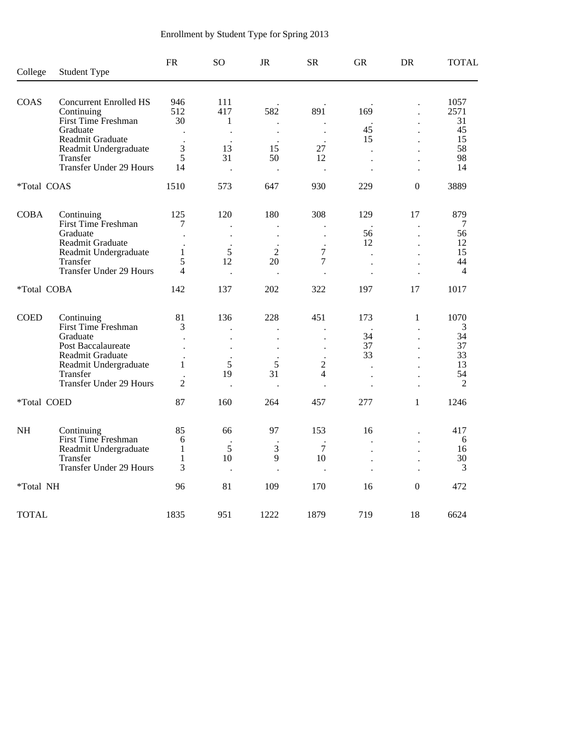| College      | <b>Student Type</b>                                                 | <b>FR</b>                                                                                                                 | SO <sub>1</sub>      | <b>JR</b>            | <b>SR</b>                | <b>GR</b>            | DR             | <b>TOTAL</b>               |
|--------------|---------------------------------------------------------------------|---------------------------------------------------------------------------------------------------------------------------|----------------------|----------------------|--------------------------|----------------------|----------------|----------------------------|
|              |                                                                     |                                                                                                                           |                      |                      |                          |                      |                |                            |
| <b>COAS</b>  | <b>Concurrent Enrolled HS</b><br>Continuing<br>First Time Freshman  | 946<br>512<br>30                                                                                                          | 111<br>417<br>1      | 582                  | 891                      | 169                  |                | 1057<br>2571<br>31         |
|              | Graduate<br>Readmit Graduate                                        |                                                                                                                           | $\ddot{\phantom{a}}$ | $\ddot{\phantom{a}}$ | $\ddot{\phantom{a}}$     | 45<br>15             |                | 45<br>15                   |
|              | Readmit Undergraduate<br>Transfer<br><b>Transfer Under 29 Hours</b> | $\mathfrak{Z}$<br>5<br>14                                                                                                 | 13<br>31             | 15<br>50             | 27<br>12                 | $\cdot$              |                | 58<br>98<br>14             |
| *Total COAS  |                                                                     | 1510                                                                                                                      | 573                  | 647                  | 930                      | 229                  | $\overline{0}$ | 3889                       |
| <b>COBA</b>  | Continuing                                                          | 125                                                                                                                       | 120                  | 180                  | 308                      | 129                  | 17             | 879                        |
|              | First Time Freshman<br>Graduate<br>Readmit Graduate                 | 7                                                                                                                         |                      |                      |                          | 56<br>12             |                | 7<br>56<br>12              |
|              | Readmit Undergraduate<br>Transfer<br><b>Transfer Under 29 Hours</b> | 1<br>5<br>$\overline{4}$                                                                                                  | 5<br>12              | $\overline{2}$<br>20 | $\overline{7}$<br>7      | $\ddot{\phantom{a}}$ |                | 15<br>44<br>$\overline{4}$ |
|              |                                                                     |                                                                                                                           | $\ddot{\phantom{a}}$ |                      |                          |                      |                |                            |
| *Total COBA  |                                                                     | 142                                                                                                                       | 137                  | 202                  | 322                      | 197                  | 17             | 1017                       |
| <b>COED</b>  | Continuing<br>First Time Freshman                                   | 81<br>3                                                                                                                   | 136                  | 228                  | 451                      | 173                  | 1              | 1070<br>3                  |
|              | Graduate<br>Post Baccalaureate                                      | $\ddot{\phantom{0}}$<br>$\overline{\phantom{a}}$                                                                          |                      |                      | $\overline{\phantom{a}}$ | 34<br>37             |                | 34<br>37                   |
|              | Readmit Graduate<br>Readmit Undergraduate<br>Transfer               | 1                                                                                                                         | 5<br>19              | 5<br>31              | $\overline{c}$<br>4      | 33<br>$\cdot$        |                | 33<br>13<br>54             |
|              | <b>Transfer Under 29 Hours</b>                                      | $\ddot{\phantom{a}}$<br>$\overline{2}$                                                                                    | $\ddot{\phantom{a}}$ |                      | $\ddot{\phantom{0}}$     | $\ddot{\phantom{0}}$ |                | 2                          |
| *Total COED  |                                                                     | 87                                                                                                                        | 160                  | 264                  | 457                      | 277                  | 1              | 1246                       |
| <b>NH</b>    | Continuing                                                          | 85                                                                                                                        | 66                   | 97                   | 153                      | 16                   |                | 417                        |
|              | First Time Freshman<br>Readmit Undergraduate<br>Transfer            | 6<br>$\mathbf{1}$<br>1                                                                                                    | 5<br>10              | 3<br>9               | 7<br>10                  | $\ddot{\phantom{0}}$ |                | 6<br>16<br>30              |
|              | <b>Transfer Under 29 Hours</b>                                      | $\ddot{\phantom{0}}$<br>3<br>$\ddot{\phantom{a}}$<br>$\ddot{\phantom{a}}$<br>$\ddot{\phantom{a}}$<br>$\ddot{\phantom{0}}$ |                      |                      |                          | 3                    |                |                            |
| *Total NH    |                                                                     | 96                                                                                                                        | 81                   | 109                  | 170                      | 16                   | $\Omega$       | 472                        |
| <b>TOTAL</b> |                                                                     | 1835                                                                                                                      | 951                  | 1222                 | 1879                     | 719                  | 18             | 6624                       |

# Enrollment by Student Type for Spring 2013